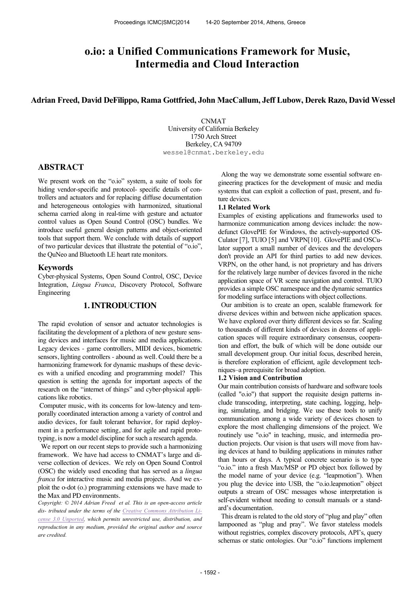# **o.io: a Unified Communications Framework for Music, Intermedia and Cloud Interaction**

### **Adrian Freed, David DeFilippo, Rama Gottfried, John MacCallum, Jeff Lubow, Derek Razo, David Wessel**

CNMAT University of California Berkeley 1750 Arch Street Berkeley, CA 94709 wessel@cnmat.berkeley.edu

# **ABSTRACT**

We present work on the "o.io" system, a suite of tools for hiding vendor-specific and protocol- specific details of controllers and actuators and for replacing diffuse documentation and heterogeneous ontologies with harmonized, situational schema carried along in real-time with gesture and actuator control values as Open Sound Control (OSC) bundles. We introduce useful general design patterns and object-oriented tools that support them. We conclude with details of support of two particular devices that illustrate the potential of "o.io", the QuNeo and Bluetooth LE heart rate monitors.

#### **Keywords**

Cyber-physical Systems, Open Sound Control, OSC, Device Integration, *Lingua Franca*, Discovery Protocol, Software Engineering

# **1. INTRODUCTION**

The rapid evolution of sensor and actuator technologies is facilitating the development of a plethora of new gesture sensing devices and interfaces for music and media applications. Legacy devices - game controllers, MIDI devices, biometric sensors, lighting controllers - abound as well. Could there be a harmonizing framework for dynamic mashups of these devices with a unified encoding and programming model? This question is setting the agenda for important aspects of the research on the "internet of things" and cyber-physical applications like robotics.

Computer music, with its concerns for low-latency and temporally coordinated interaction among a variety of control and audio devices, for fault tolerant behavior, for rapid deployment in a performance setting, and for agile and rapid prototyping, is now a model discipline for such a research agenda.

 We report on our recent steps to provide such a harmonizing framework. We have had access to CNMAT's large and diverse collection of devices. We rely on Open Sound Control (OSC) the widely used encoding that has served as a *lingua franca* for interactive music and media projects. And we exploit the o-dot (o.) programming extensions we have made to the Max and PD environments.

*Copyright: © 2014 Adrian Freed et al. This is an open-access article dis- tributed under the terms of the Creative Commons Attribution License 3.0 Unported, which permits unrestricted use, distribution, and reproduction in any medium, provided the original author and source are credited.*

 Along the way we demonstrate some essential software engineering practices for the development of music and media systems that can exploit a collection of past, present, and future devices.

#### **1.1 Related Work**

Examples of existing applications and frameworks used to harmonize communication among devices include: the nowdefunct GlovePIE for Windows, the actively-supported OS-Culator [7], TUIO [5] and VRPN[10]. GlovePIE and OSCulator support a small number of devices and the developers don't provide an API for third parties to add new devices. VRPN, on the other hand, is not proprietary and has drivers for the relatively large number of devices favored in the niche application space of VR scene navigation and control. TUIO provides a simple OSC namespace and the dynamic semantics for modeling surface interactions with object collections.

 Our ambition is to create an open, scalable framework for diverse devices within and between niche application spaces. We have explored over thirty different devices so far. Scaling to thousands of different kinds of devices in dozens of application spaces will require extraordinary consensus, cooperation and effort, the bulk of which will be done outside our small development group. Our initial focus, described herein, is therefore exploration of efficient, agile development techniques–a prerequisite for broad adoption.

#### **1.2 Vision and Contribution**

Our main contribution consists of hardware and software tools (called "o.io") that support the requisite design patterns include transcoding, interpreting, state caching, logging, helping, simulating, and bridging. We use these tools to unify communication among a wide variety of devices chosen to explore the most challenging dimensions of the project. We routinely use "o.io" in teaching, music, and intermedia production projects. Our vision is that users will move from having devices at hand to building applications in minutes rather than hours or days. A typical concrete scenario is to type "o.io." into a fresh Max/MSP or PD object box followed by the model name of your device (e.g. "leapmotion"). When you plug the device into USB, the "o.io.leapmotion" object outputs a stream of OSC messages whose interpretation is self-evident without needing to consult manuals or a standard's documentation.

 This dream is related to the old story of "plug and play" often lampooned as "plug and pray". We favor stateless models without registries, complex discovery protocols, API's, query schemas or static ontologies. Our "o.io" functions implement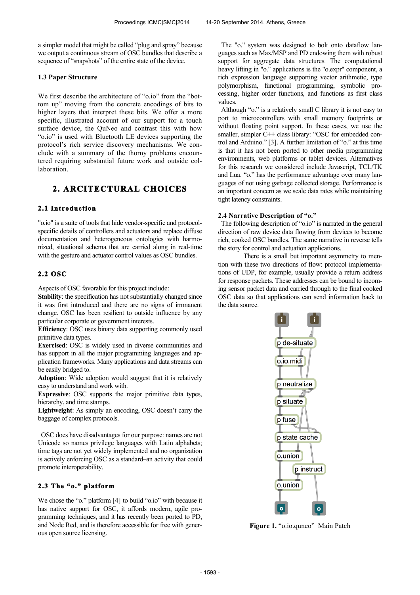a simpler model that might be called "plug and spray" because we output a continuous stream of OSC bundles that describe a sequence of "snapshots" of the entire state of the device.

#### **1.3 Paper Structure**

We first describe the architecture of "o.io" from the "bottom up" moving from the concrete encodings of bits to higher layers that interpret these bits. We offer a more specific, illustrated account of our support for a touch surface device, the QuNeo and contrast this with how "o.io" is used with Bluetooth LE devices supporting the protocol's rich service discovery mechanisms. We conclude with a summary of the thorny problems encountered requiring substantial future work and outside collaboration.

# **2. ARCITECTURAL CHOICES**

### **2.1 Introduction**

"o.io" is a suite of tools that hide vendor-specific and protocolspecific details of controllers and actuators and replace diffuse documentation and heterogeneous ontologies with harmonized, situational schema that are carried along in real-time with the gesture and actuator control values as OSC bundles.

### **2.2 OSC**

Aspects of OSC favorable for this project include:

**Stability**: the specification has not substantially changed since it was first introduced and there are no signs of immanent change. OSC has been resilient to outside influence by any particular corporate or government interests.

**Efficiency**: OSC uses binary data supporting commonly used primitive data types.

**Exercised**: OSC is widely used in diverse communities and has support in all the major programming languages and application frameworks. Many applications and data streams can be easily bridged to.

**Adoption**: Wide adoption would suggest that it is relatively easy to understand and work with.

**Expressive**: OSC supports the major primitive data types, hierarchy, and time stamps.

**Lightweight**: As simply an encoding, OSC doesn't carry the baggage of complex protocols.

 OSC does have disadvantages for our purpose: names are not Unicode so names privilege languages with Latin alphabets; time tags are not yet widely implemented and no organization is actively enforcing OSC as a standard–an activity that could promote interoperability.

### **2.3 The "o." platform**

We chose the "o." platform [4] to build "o.io" with because it has native support for OSC, it affords modern, agile programming techniques, and it has recently been ported to PD, and Node Red, and is therefore accessible for free with generous open source licensing.

 The "o." system was designed to bolt onto dataflow languages such as Max/MSP and PD endowing them with robust support for aggregate data structures. The computational heavy lifting in "o." applications is the "o.expr" component, a rich expression language supporting vector arithmetic, type polymorphism, functional programming, symbolic processing, higher order functions, and functions as first class values.

 Although "o." is a relatively small C library it is not easy to port to microcontrollers with small memory footprints or without floating point support. In these cases, we use the smaller, simpler C++ class library: "OSC for embedded control and Arduino." [3]. A further limitation of "o." at this time is that it has not been ported to other media programming environments, web platforms or tablet devices. Alternatives for this research we considered include Javascript, TCL/TK and Lua. "o." has the performance advantage over many languages of not using garbage collected storage. Performance is an important concern as we scale data rates while maintaining tight latency constraints.

#### **2.4 Narrative Description of "o."**

 The following description of "o.io" is narrated in the general direction of raw device data flowing from devices to become rich, cooked OSC bundles. The same narrative in reverse tells the story for control and actuation applications.

There is a small but important asymmetry to mention with these two directions of flow: protocol implementations of UDP, for example, usually provide a return address for response packets. These addresses can be bound to incoming sensor packet data and carried through to the final cooked OSC data so that applications can send information back to the data source.



**Figure 1.** "o.io.quneo" Main Patch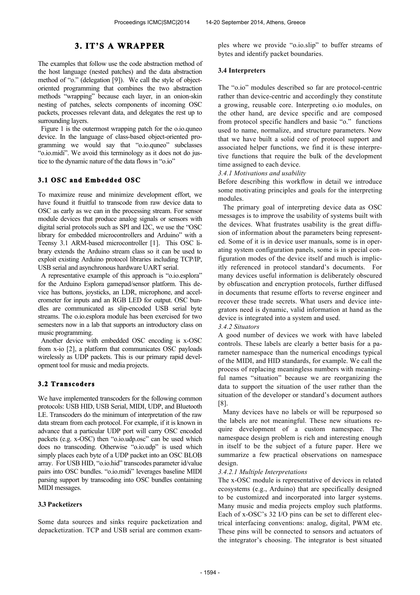# **3. IT'S A WRAPPER**

The examples that follow use the code abstraction method of the host language (nested patches) and the data abstraction method of "o." (delegation [9]). We call the style of objectoriented programming that combines the two abstraction methods "wrapping" because each layer, in an onion-skin nesting of patches, selects components of incoming OSC packets, processes relevant data, and delegates the rest up to surrounding layers.

Figure 1 is the outermost wrapping patch for the o.io.quneor device. In the language of class-based object-oriented programming we would say that "o.io.quneo" subclasses "o.io.midi". We avoid this terminology as it does not do justice to the dynamic nature of the data flows in "o.io"

#### **3.1 OSC and Embedded OSC**

To maximize reuse and minimize development effort, we have found it fruitful to transcode from raw device data to OSC as early as we can in the processing stream. For sensor module devices that produce analog signals or sensors with digital serial protocols such as SPI and I2C, we use the "OSC library for embedded microcontrollers and Arduino" with a Teensy 3.1 ARM-based microcontroller [1]. This OSC library extends the Arduino stream class so it can be used to exploit existing Arduino protocol libraries including TCP/IP, USB serial and asynchronous hardware UART serial.

 A representative example of this approach is "o.io.esplora" for the Arduino Esplora gamepad/sensor platform. This device has buttons, joysticks, an LDR, microphone, and accelerometer for inputs and an RGB LED for output. OSC bundles are communicated as slip-encoded USB serial byte streams. The o.io.esplora module has been exercised for two semesters now in a lab that supports an introductory class on music programming.

 Another device with embedded OSC encoding is x-OSC from x-io [2], a platform that communicates OSC payloads wirelessly as UDP packets. This is our primary rapid development tool for music and media projects.

#### **3.2 Transcoders**

We have implemented transcoders for the following common protocols: USB HID, USB Serial, MIDI, UDP, and Bluetooth LE. Transcoders do the minimum of interpretation of the raw data stream from each protocol. For example, if it is known in advance that a particular UDP port will carry OSC encoded packets (e.g. x-OSC) then "o.io.udp.osc" can be used which does no transcoding. Otherwise "o.io.udp" is used which simply places each byte of a UDP packet into an OSC BLOB array. For USB HID, "o.io.hid" transcodes parameter id/value pairs into OSC bundles. "o.io.midi" leverages baseline MIDI parsing support by transcoding into OSC bundles containing MIDI messages.

#### **3.3 Packetizers**

Some data sources and sinks require packetization and depacketization. TCP and USB serial are common examples where we provide "o.io.slip" to buffer streams of bytes and identify packet boundaries.

#### **3.4 Interpreters**

The "o.io" modules described so far are protocol-centric rather than device-centric and accordingly they constitute a growing, reusable core. Interpreting o.io modules, on the other hand, are device specific and are composed from protocol specific handlers and basic "o." functions used to name, normalize, and structure parameters. Now that we have built a solid core of protocol support and associated helper functions, we find it is these interpretive functions that require the bulk of the development time assigned to each device.

#### *3.4.1 Motivations and usability*

Before describing this workflow in detail we introduce some motivating principles and goals for the interpreting modules.

The primary goal of interpreting device data as OSC messages is to improve the usability of systems built with the devices. What frustrates usability is the great diffusion of information about the parameters being represented. Some of it is in device user manuals, some is in operating system configuration panels, some is in special configuration modes of the device itself and much is implicitly referenced in protocol standard's documents. For many devices useful information is deliberately obscured by obfuscation and encryption protocols, further diffused in documents that resume efforts to reverse engineer and recover these trade secrets. What users and device integrators need is dynamic, valid information at hand as the device is integrated into a system and used.

#### *3.4.2 Situators*

A good number of devices we work with have labeled controls. These labels are clearly a better basis for a parameter namespace than the numerical encodings typical of the MIDI, and HID standards, for example. We call the process of replacing meaningless numbers with meaningful names "situation" because we are reorganizing the data to support the situation of the user rather than the situation of the developer or standard's document authors [8].

Many devices have no labels or will be repurposed so the labels are not meaningful. These new situations require development of a custom namespace. The namespace design problem is rich and interesting enough in itself to be the subject of a future paper. Here we summarize a few practical observations on namespace design.

#### *3.4.2.1 Multiple Interpretations*

The x-OSC module is representative of devices in related ecosystems (e.g., Arduino) that are specifically designed to be customized and incorporated into larger systems. Many music and media projects employ such platforms. Each of x-OSC's 32 I/O pins can be set to different electrical interfacing conventions: analog, digital, PWM etc. These pins will be connected to sensors and actuators of the integrator's choosing. The integrator is best situated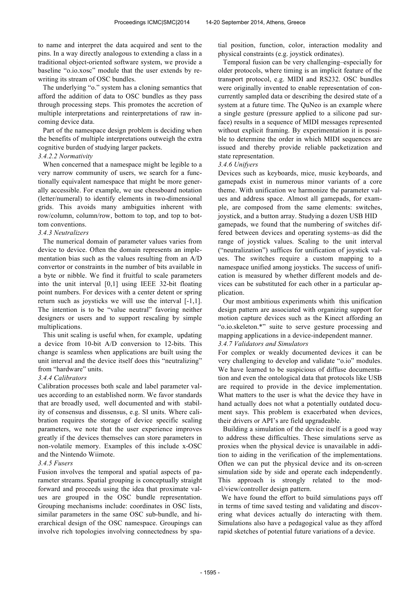to name and interpret the data acquired and sent to the pins. In a way directly analogous to extending a class in a traditional object-oriented software system, we provide a baseline "o.io.xosc" module that the user extends by rewriting its stream of OSC bundles.

The underlying "o." system has a cloning semantics that afford the addition of data to OSC bundles as they pass through processing steps. This promotes the accretion of multiple interpretations and reinterpretations of raw incoming device data.

Part of the namespace design problem is deciding when the benefits of multiple interpretations outweigh the extra cognitive burden of studying larger packets.

#### *3.4.2.2 Normativity*

When concerned that a namespace might be legible to a very narrow community of users, we search for a functionally equivalent namespace that might be more generally accessible. For example, we use chessboard notation (letter/numeral) to identify elements in two-dimensional grids. This avoids many ambiguities inherent with row/column, column/row, bottom to top, and top to bottom conventions.

#### *3.4.3 Neutralizers*

The numerical domain of parameter values varies from device to device. Often the domain represents an implementation bias such as the values resulting from an A/D convertor or constraints in the number of bits available in a byte or nibble. We find it fruitful to scale parameters into the unit interval [0,1] using IEEE 32-bit floating point numbers. For devices with a center detent or spring return such as joysticks we will use the interval [-1,1]. The intention is to be "value neutral" favoring neither designers or users and to support rescaling by simple multiplications.

This unit scaling is useful when, for example, updating a device from 10-bit A/D conversion to 12-bits. This change is seamless when applications are built using the unit interval and the device itself does this "neutralizing" from "hardware" units.

#### *3.4.4 Calibrators*

Calibration processes both scale and label parameter values according to an established norm. We favor standards that are broadly used, well documented and with stability of consensus and dissensus, e.g. SI units. Where calibration requires the storage of device specific scaling parameters, we note that the user experience improves greatly if the devices themselves can store parameters in non-volatile memory. Examples of this include x-OSC and the Nintendo Wiimote.

#### *3.4.5 Fusers*

Fusion involves the temporal and spatial aspects of parameter streams. Spatial grouping is conceptually straight forward and proceeds using the idea that proximate values are grouped in the OSC bundle representation. Grouping mechanisms include: coordinates in OSC lists, similar parameters in the same OSC sub-bundle, and hierarchical design of the OSC namespace. Groupings can involve rich topologies involving connectedness by spatial position, function, color, interaction modality and physical constraints (e.g. joystick ordinates).

Temporal fusion can be very challenging–especially for older protocols, where timing is an implicit feature of the transport protocol, e.g. MIDI and RS232. OSC bundles were originally invented to enable representation of concurrently sampled data or describing the desired state of a system at a future time. The QuNeo is an example where a single gesture (pressure applied to a silicone pad surface) results in a sequence of MIDI messages represented without explicit framing. By experimentation it is possible to determine the order in which MIDI sequences are issued and thereby provide reliable packetization and state representation.

#### *3.4.6 Unifyers*

Devices such as keyboards, mice, music keyboards, and gamepads exist in numerous minor variants of a core theme. With unification we harmonize the parameter values and address space. Almost all gamepads, for example, are composed from the same elements: switches, joystick, and a button array. Studying a dozen USB HID gamepads, we found that the numbering of switches differed between devices and operating systems–as did the range of joystick values. Scaling to the unit interval ("neutralization") suffices for unification of joystick values. The switches require a custom mapping to a namespace unified among joysticks. The success of unification is measured by whether different models and devices can be substituted for each other in a particular application.

Our most ambitious experiments whith this unification design pattern are associated with organizing support for motion capture devices such as the Kinect affording an "o.io.skeleton.\*" suite to serve gesture processing and mapping applications in a device-independent manner. *3.4.7 Validators and Simulators*

For complex or weakly documented devices it can be very challenging to develop and validate "o.io" modules. We have learned to be suspicious of diffuse documentation and even the ontological data that protocols like USB are required to provide in the device implementation. What matters to the user is what the device they have in hand actually does not what a potentially outdated document says. This problem is exacerbated when devices, their drivers or API's are field upgradeable.

Building a simulation of the device itself is a good way to address these difficulties. These simulations serve as proxies when the physical device is unavailable in addition to aiding in the verification of the implementations. Often we can put the physical device and its on-screen simulation side by side and operate each independently. This approach is strongly related to the model/view/controller design pattern.

 We have found the effort to build simulations pays off in terms of time saved testing and validating and discovering what devices actually do interacting with them. Simulations also have a pedagogical value as they afford rapid sketches of potential future variations of a device.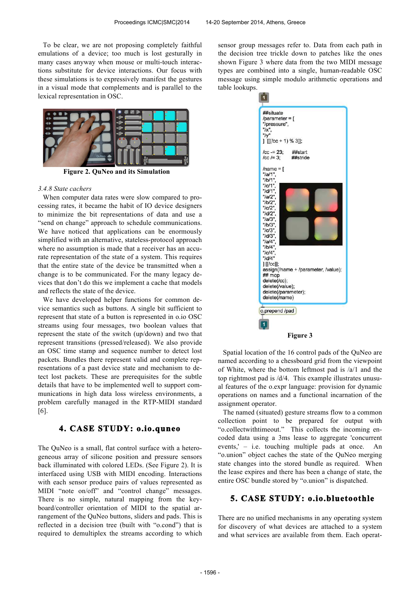To be clear, we are not proposing completely faithful emulations of a device; too much is lost gesturally in many cases anyway when mouse or multi-touch interactions substitute for device interactions. Our focus with these simulations is to expressively manifest the gestures in a visual mode that complements and is parallel to the lexical representation in OSC.



**Figure 2. QuNeo and its Simulation**

#### *3.4.8 State cachers*

When computer data rates were slow compared to processing rates, it became the habit of IO device designers to minimize the bit representations of data and use a "send on change" approach to schedule communications. We have noticed that applications can be enormously simplified with an alternative, stateless-protocol approach where no assumption is made that a receiver has an accurate representation of the state of a system. This requires that the entire state of the device be transmitted when a change is to be communicated. For the many legacy devices that don't do this we implement a cache that models and reflects the state of the device.

We have developed helper functions for common device semantics such as buttons. A single bit sufficient to represent that state of a button is represented in o.io OSC streams using four messages, two boolean values that represent the state of the switch (up/down) and two that represent transitions (pressed/released). We also provide an OSC time stamp and sequence number to detect lost packets. Bundles there represent valid and complete representations of a past device state and mechanism to detect lost packets. These are prerequisites for the subtle details that have to be implemented well to support communications in high data loss wireless environments, a problem carefully managed in the RTP-MIDI standard [6].

# **4. CASE STUDY: o.io.quneo**

The QuNeo is a small, flat control surface with a heterogeneous array of silicone position and pressure sensors back illuminated with colored LEDs. (See Figure 2). It is interfaced using USB with MIDI encoding. Interactions with each sensor produce pairs of values represented as MIDI "note on/off" and "control change" messages. There is no simple, natural mapping from the keyboard/controller orientation of MIDI to the spatial arrangement of the QuNeo buttons, sliders and pads. This is reflected in a decision tree (built with "o.cond") that is required to demultiplex the streams according to which sensor group messages refer to. Data from each path in the decision tree trickle down to patches like the ones shown Figure 3 where data from the two MIDI message types are combined into a single, human-readable OSC message using simple modulo arithmetic operations and table lookups.

n ##situate /parameter =  $[$ "/pressure".  $\frac{1}{2}$  $\frac{1}{y}$  $\iiint$  [[(/cc + 1) % 3]];  $/cc = 23$ : ##start  $/CC = 3$ : ##stride  $/name =$ [  $\begin{array}{l} \text{prime} \\ \text{"a/1"}\\ \text{``/b/1"}\\ \text{''/c/1"}\\ \text{''/d/1"}\\ \end{array}$  $"/a/2"$  $"$ /b/2" "/ $c/2$ " " $Id2"$  $"/a/3"$ "/b/3" "/ $c/3$ " "/d/3" "/a/4"<br>"/b/4"  $"$ / $C/4"$  $''/d/4'$  $]$  [[/cc]]; assign(/name + /parameter, /value); ## mop delete(/cc): delete(/value); delete(/parameter); delete(/name) o.prepend /pad  $\overline{1}$ **Figure 3**

Spatial location of the 16 control pads of the QuNeo are named according to a chessboard grid from the viewpoint of White, where the bottom leftmost pad is /a/1 and the top rightmost pad is /d/4. This example illustrates unusual features of the o.expr language: provision for dynamic operations on names and a functional incarnation of the assignment operator.

The named (situated) gesture streams flow to a common collection point to be prepared for output with "o.collectwithtimeout." This collects the incoming encoded data using a 3ms lease to aggregate 'concurrent events,' – i.e. touching multiple pads at once. An "o.union" object caches the state of the QuNeo merging state changes into the stored bundle as required. When the lease expires and there has been a change of state, the entire OSC bundle stored by "o.union" is dispatched.

## **5. CASE STUDY: o.io.bluetoothle**

There are no unified mechanisms in any operating system for discovery of what devices are attached to a system and what services are available from them. Each operat